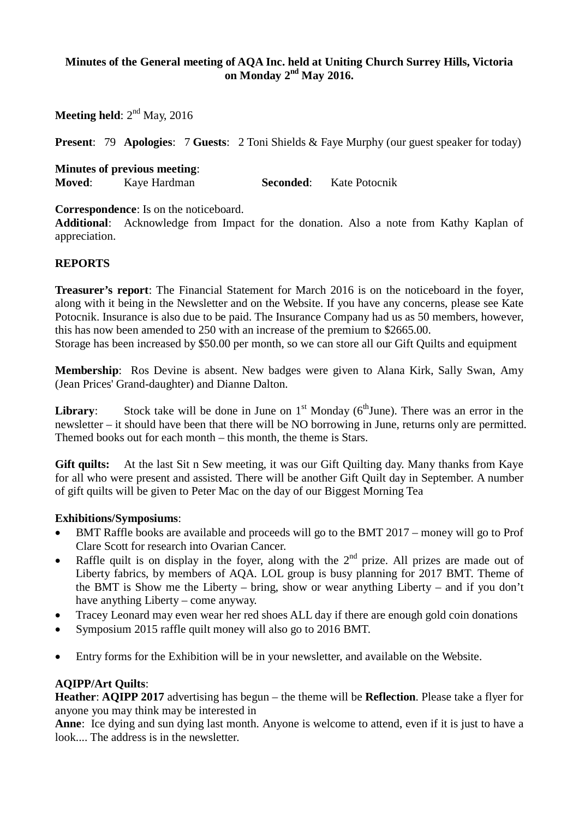### **Minutes of the General meeting of AQA Inc. held at Uniting Church Surrey Hills, Victoria on Monday 2nd May 2016.**

**Meeting held**:  $2^{nd}$  May, 2016

**Present:** 79 **Apologies:** 7 **Guests:** 2 Toni Shields & Faye Murphy (our guest speaker for today)

**Minutes of previous meeting**: **Moved**: Kaye Hardman **Seconded**: Kate Potocnik

**Correspondence**: Is on the noticeboard.

**Additional**: Acknowledge from Impact for the donation. Also a note from Kathy Kaplan of appreciation.

#### **REPORTS**

**Treasurer's report**: The Financial Statement for March 2016 is on the noticeboard in the foyer, along with it being in the Newsletter and on the Website. If you have any concerns, please see Kate Potocnik. Insurance is also due to be paid. The Insurance Company had us as 50 members, however, this has now been amended to 250 with an increase of the premium to \$2665.00. Storage has been increased by \$50.00 per month, so we can store all our Gift Quilts and equipment

**Membership**: Ros Devine is absent. New badges were given to Alana Kirk, Sally Swan, Amy (Jean Prices' Grand-daughter) and Dianne Dalton.

**Library**: Stock take will be done in June on  $1<sup>st</sup>$  Monday ( $6<sup>th</sup>$ June). There was an error in the newsletter – it should have been that there will be NO borrowing in June, returns only are permitted. Themed books out for each month – this month, the theme is Stars.

**Gift quilts:** At the last Sit n Sew meeting, it was our Gift Quilting day. Many thanks from Kaye for all who were present and assisted. There will be another Gift Quilt day in September. A number of gift quilts will be given to Peter Mac on the day of our Biggest Morning Tea

#### **Exhibitions/Symposiums**:

- BMT Raffle books are available and proceeds will go to the BMT 2017 money will go to Prof Clare Scott for research into Ovarian Cancer.
- Raffle quilt is on display in the foyer, along with the  $2<sup>nd</sup>$  prize. All prizes are made out of Liberty fabrics, by members of AQA. LOL group is busy planning for 2017 BMT. Theme of the BMT is Show me the Liberty – bring, show or wear anything Liberty – and if you don't have anything Liberty – come anyway.
- Tracey Leonard may even wear her red shoes ALL day if there are enough gold coin donations
- Symposium 2015 raffle quilt money will also go to 2016 BMT.
- Entry forms for the Exhibition will be in your newsletter, and available on the Website.

#### **AQIPP/Art Quilts**:

**Heather**: **AQIPP 2017** advertising has begun – the theme will be **Reflection**. Please take a flyer for anyone you may think may be interested in

**Anne**: Ice dying and sun dying last month. Anyone is welcome to attend, even if it is just to have a look.... The address is in the newsletter.